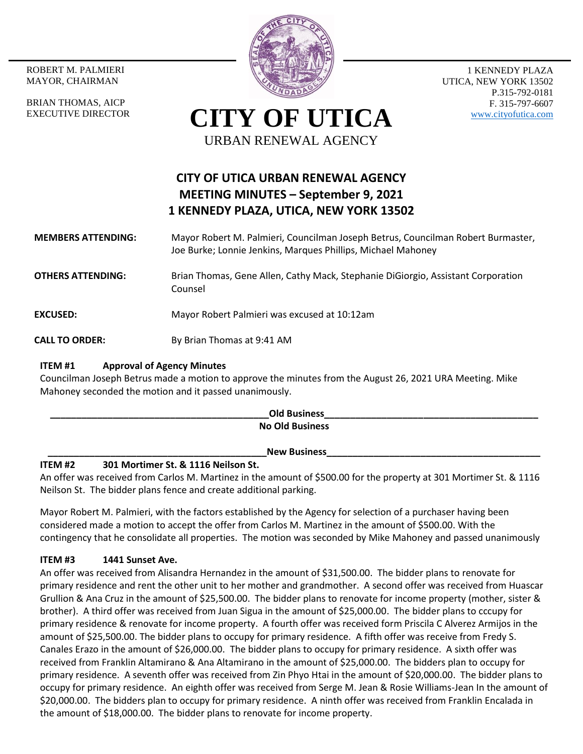ROBERT M. PALMIERI MAYOR, CHAIRMAN

BRIAN THOMAS, AICP EXECUTIVE DIRECTOR



1 KENNEDY PLAZA UTICA, NEW YORK 13502 P.315-792-0181 F. 315-797-6607 [www.cityofutica.com](http://www.cityofutica.com/)

# **CITY OF UTICA** URBAN RENEWAL AGENCY

# **CITY OF UTICA URBAN RENEWAL AGENCY MEETING MINUTES – September 9, 2021 1 KENNEDY PLAZA, UTICA, NEW YORK 13502**

#### **MEMBERS ATTENDING:** Mayor Robert M. Palmieri, Councilman Joseph Betrus, Councilman Robert Burmaster, Joe Burke; Lonnie Jenkins, Marques Phillips, Michael Mahoney

**OTHERS ATTENDING:** Brian Thomas, Gene Allen, Cathy Mack, Stephanie DiGiorgio, Assistant Corporation Counsel

**EXCUSED:** Mayor Robert Palmieri was excused at 10:12am

**CALL TO ORDER:** By Brian Thomas at 9:41 AM

## **ITEM #1 Approval of Agency Minutes**

Councilman Joseph Betrus made a motion to approve the minutes from the August 26, 2021 URA Meeting. Mike Mahoney seconded the motion and it passed unanimously.

| <b>Old Business</b>    |  |
|------------------------|--|
| <b>No Old Business</b> |  |
|                        |  |
| <b>New Business</b>    |  |

# **ITEM #2 301 Mortimer St. & 1116 Neilson St.**

An offer was received from Carlos M. Martinez in the amount of \$500.00 for the property at 301 Mortimer St. & 1116 Neilson St. The bidder plans fence and create additional parking.

Mayor Robert M. Palmieri, with the factors established by the Agency for selection of a purchaser having been considered made a motion to accept the offer from Carlos M. Martinez in the amount of \$500.00. With the contingency that he consolidate all properties. The motion was seconded by Mike Mahoney and passed unanimously

# **ITEM #3 1441 Sunset Ave.**

An offer was received from Alisandra Hernandez in the amount of \$31,500.00. The bidder plans to renovate for primary residence and rent the other unit to her mother and grandmother. A second offer was received from Huascar Grullion & Ana Cruz in the amount of \$25,500.00. The bidder plans to renovate for income property (mother, sister & brother). A third offer was received from Juan Sigua in the amount of \$25,000.00. The bidder plans to cccupy for primary residence & renovate for income property. A fourth offer was received form Priscila C Alverez Armijos in the amount of \$25,500.00. The bidder plans to occupy for primary residence. A fifth offer was receive from Fredy S. Canales Erazo in the amount of \$26,000.00. The bidder plans to occupy for primary residence. A sixth offer was received from Franklin Altamirano & Ana Altamirano in the amount of \$25,000.00. The bidders plan to occupy for primary residence. A seventh offer was received from Zin Phyo Htai in the amount of \$20,000.00. The bidder plans to occupy for primary residence. An eighth offer was received from Serge M. Jean & Rosie Williams-Jean In the amount of \$20,000.00. The bidders plan to occupy for primary residence. A ninth offer was received from Franklin Encalada in the amount of \$18,000.00. The bidder plans to renovate for income property.